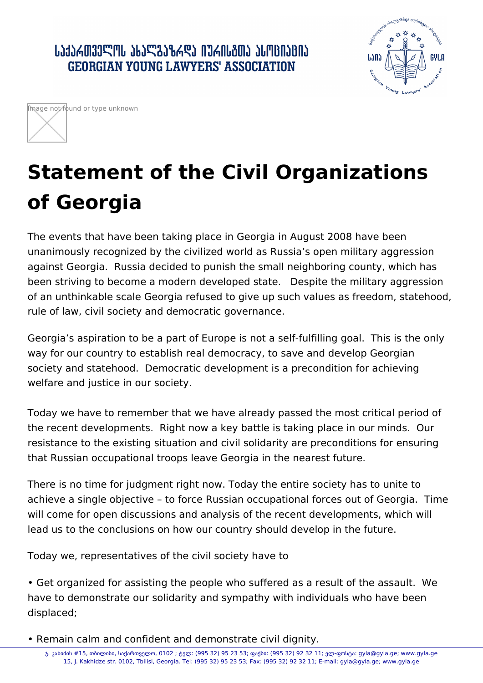## ՐԴԳՐԱՏԱՐԱՐԻ ԳԵՏՐԱՏԻՆ ԳՐԱՐԱՆՈՆ ԱՐԱՆԵՐԻ **GEORGIAN YOUNG LAWYERS' ASSOCIATION**





## **Statement of the Civil Organizations of Georgia**

The events that have been taking place in Georgia in August 2008 have been unanimously recognized by the civilized world as Russia's open military aggression against Georgia. Russia decided to punish the small neighboring county, which has been striving to become a modern developed state. Despite the military aggression of an unthinkable scale Georgia refused to give up such values as freedom, statehood, rule of law, civil society and democratic governance.

Georgia's aspiration to be a part of Europe is not a self-fulfilling goal. This is the only way for our country to establish real democracy, to save and develop Georgian society and statehood. Democratic development is a precondition for achieving welfare and justice in our society.

Today we have to remember that we have already passed the most critical period of the recent developments. Right now a key battle is taking place in our minds. Our resistance to the existing situation and civil solidarity are preconditions for ensuring that Russian occupational troops leave Georgia in the nearest future.

There is no time for judgment right now. Today the entire society has to unite to achieve a single objective – to force Russian occupational forces out of Georgia. Time will come for open discussions and analysis of the recent developments, which will lead us to the conclusions on how our country should develop in the future.

Today we, representatives of the civil society have to

• Get organized for assisting the people who suffered as a result of the assault. We have to demonstrate our solidarity and sympathy with individuals who have been displaced;

• Remain calm and confident and demonstrate civil dignity.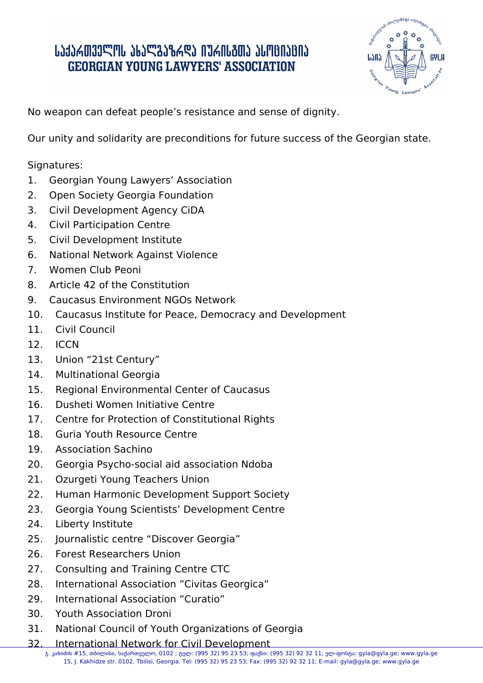## ․ ԱՆՅՆՃᲗᲕᲔᲚᲝᲡ ᲐᲮᲐᲚᲒᲐᲖᲠᲓᲐ ᲘᲣᲠᲘᲡᲒᲗᲐ ᲐᲡᲝᲪᲘᲐᲪᲘᲐ **GEORGIAN YOUNG LAWYERS' ASSOCIATION**



No weapon can defeat people's resistance and sense of dignity.

Our unity and solidarity are preconditions for future success of the Georgian state.

Signatures:

- 1. Georgian Young Lawyers' Association
- 2. Open Society Georgia Foundation
- 3. Civil Development Agency CiDA
- 4. Civil Participation Centre
- 5. Civil Development Institute
- 6. National Network Against Violence
- 7. Women Club Peoni
- 8. Article 42 of the Constitution
- 9. Caucasus Environment NGOs Network
- 10. Caucasus Institute for Peace, Democracy and Development
- 11. Civil Council
- 12. ICCN
- 13. Union "21st Century"
- 14. Multinational Georgia
- 15. Regional Environmental Center of Caucasus
- 16. Dusheti Women Initiative Centre
- 17. Centre for Protection of Constitutional Rights
- 18. Guria Youth Resource Centre
- 19. **Association Sachino**
- 20. Georgia Psycho-social aid association Ndoba
- 21. Ozurgeti Young Teachers Union
- 22. Human Harmonic Development Support Society
- 23. Georgia Young Scientists' Development Centre
- 24. Liberty Institute
- 25. Journalistic centre "Discover Georgia"
- 26. Forest Researchers Union
- 27. Consulting and Training Centre CTC
- 28. International Association "Civitas Georgica"
- 29. International Association "Curatio"
- 30. Youth Association Droni
- 31. National Council of Youth Organizations of Georgia
- 32. International Network for Civil Development